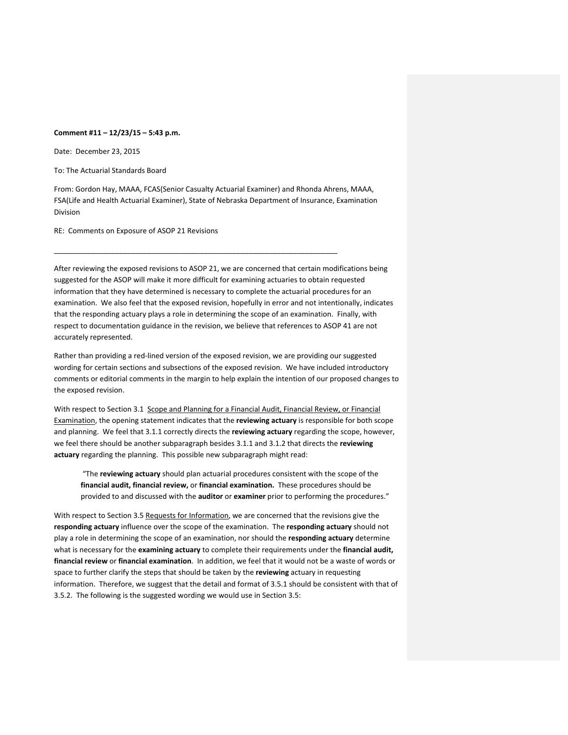## **Comment #11 – 12/23/15 – 5:43 p.m.**

Date: December 23, 2015

To: The Actuarial Standards Board

From: Gordon Hay, MAAA, FCAS(Senior Casualty Actuarial Examiner) and Rhonda Ahrens, MAAA, FSA(Life and Health Actuarial Examiner), State of Nebraska Department of Insurance, Examination Division

\_\_\_\_\_\_\_\_\_\_\_\_\_\_\_\_\_\_\_\_\_\_\_\_\_\_\_\_\_\_\_\_\_\_\_\_\_\_\_\_\_\_\_\_\_\_\_\_\_\_\_\_\_\_\_\_\_\_\_\_\_\_\_\_\_\_\_\_\_\_

RE: Comments on Exposure of ASOP 21 Revisions

After reviewing the exposed revisions to ASOP 21, we are concerned that certain modifications being suggested for the ASOP will make it more difficult for examining actuaries to obtain requested information that they have determined is necessary to complete the actuarial procedures for an examination. We also feel that the exposed revision, hopefully in error and not intentionally, indicates that the responding actuary plays a role in determining the scope of an examination. Finally, with respect to documentation guidance in the revision, we believe that references to ASOP 41 are not accurately represented.

Rather than providing a red‐lined version of the exposed revision, we are providing our suggested wording for certain sections and subsections of the exposed revision. We have included introductory comments or editorial comments in the margin to help explain the intention of our proposed changes to the exposed revision.

With respect to Section 3.1 Scope and Planning for a Financial Audit, Financial Review, or Financial Examination, the opening statement indicates that the **reviewing actuary** is responsible for both scope and planning. We feel that 3.1.1 correctly directs the **reviewing actuary** regarding the scope, however, we feel there should be another subparagraph besides 3.1.1 and 3.1.2 that directs the **reviewing actuary** regarding the planning. This possible new subparagraph might read:

"The **reviewing actuary** should plan actuarial procedures consistent with the scope of the **financial audit, financial review,** or **financial examination.** These procedures should be provided to and discussed with the **auditor** or **examiner** prior to performing the procedures."

With respect to Section 3.5 Requests for Information, we are concerned that the revisions give the **responding actuary** influence over the scope of the examination. The **responding actuary** should not play a role in determining the scope of an examination, nor should the **responding actuary** determine what is necessary for the **examining actuary** to complete their requirements under the **financial audit, financial review** or **financial examination**. In addition, we feel that it would not be a waste of words or space to further clarify the steps that should be taken by the **reviewing** actuary in requesting information. Therefore, we suggest that the detail and format of 3.5.1 should be consistent with that of 3.5.2. The following is the suggested wording we would use in Section 3.5: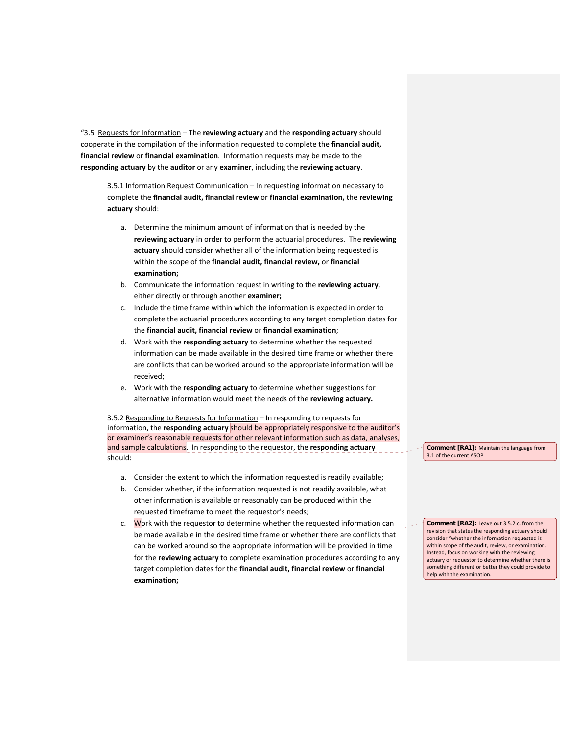"3.5 Requests for Information – The **reviewing actuary** and the **responding actuary** should cooperate in the compilation of the information requested to complete the **financial audit, financial review** or **financial examination**. Information requests may be made to the **responding actuary** by the **auditor** or any **examiner**, including the **reviewing actuary**.

3.5.1 Information Request Communication – In requesting information necessary to complete the **financial audit, financial review** or **financial examination,** the **reviewing actuary** should:

- a. Determine the minimum amount of information that is needed by the **reviewing actuary** in order to perform the actuarial procedures. The **reviewing actuary** should consider whether all of the information being requested is within the scope of the **financial audit, financial review,** or **financial examination;**
- b. Communicate the information request in writing to the **reviewing actuary**, either directly or through another **examiner;**
- c. Include the time frame within which the information is expected in order to complete the actuarial procedures according to any target completion dates for the **financial audit, financial review** or **financial examination**;
- d. Work with the **responding actuary** to determine whether the requested information can be made available in the desired time frame or whether there are conflicts that can be worked around so the appropriate information will be received;
- e. Work with the **responding actuary** to determine whether suggestions for alternative information would meet the needs of the **reviewing actuary.**

3.5.2 Responding to Requests for Information – In responding to requests for information, the **responding actuary** should be appropriately responsive to the auditor's or examiner's reasonable requests for other relevant information such as data, analyses, and sample calculations. In responding to the requestor, the **responding actuary** should:

- a. Consider the extent to which the information requested is readily available;
- b. Consider whether, if the information requested is not readily available, what other information is available or reasonably can be produced within the requested timeframe to meet the requestor's needs;
- c. Work with the requestor to determine whether the requested information can be made available in the desired time frame or whether there are conflicts that can be worked around so the appropriate information will be provided in time for the **reviewing actuary** to complete examination procedures according to any target completion dates for the **financial audit, financial review** or **financial examination;**

**Comment [RA1]:** Maintain the language from 3.1 of the current ASOP

**Comment [RA2]:** Leave out 3.5.2.c. from the revision that states the responding actuary should consider "whether the information requested is within scope of the audit, review, or examination. Instead, focus on working with the reviewing actuary or requestor to determine whether there is something different or better they could provide to help with the examination.